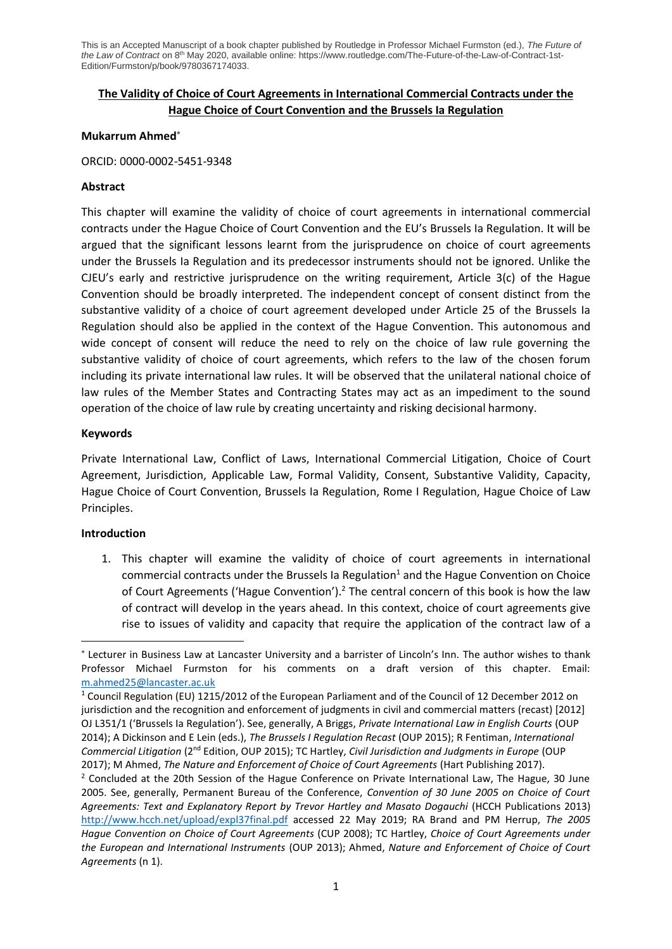## **The Validity of Choice of Court Agreements in International Commercial Contracts under the Hague Choice of Court Convention and the Brussels Ia Regulation**

## **Mukarrum Ahmed**

## ORCID: 0000-0002-5451-9348

## **Abstract**

This chapter will examine the validity of choice of court agreements in international commercial contracts under the Hague Choice of Court Convention and the EU's Brussels Ia Regulation. It will be argued that the significant lessons learnt from the jurisprudence on choice of court agreements under the Brussels Ia Regulation and its predecessor instruments should not be ignored. Unlike the CJEU's early and restrictive jurisprudence on the writing requirement, Article 3(c) of the Hague Convention should be broadly interpreted. The independent concept of consent distinct from the substantive validity of a choice of court agreement developed under Article 25 of the Brussels Ia Regulation should also be applied in the context of the Hague Convention. This autonomous and wide concept of consent will reduce the need to rely on the choice of law rule governing the substantive validity of choice of court agreements, which refers to the law of the chosen forum including its private international law rules. It will be observed that the unilateral national choice of law rules of the Member States and Contracting States may act as an impediment to the sound operation of the choice of law rule by creating uncertainty and risking decisional harmony.

## **Keywords**

Private International Law, Conflict of Laws, International Commercial Litigation, Choice of Court Agreement, Jurisdiction, Applicable Law, Formal Validity, Consent, Substantive Validity, Capacity, Hague Choice of Court Convention, Brussels Ia Regulation, Rome I Regulation, Hague Choice of Law Principles.

## **Introduction**

1. This chapter will examine the validity of choice of court agreements in international commercial contracts under the Brussels Ia Regulation<sup>1</sup> and the Hague Convention on Choice of Court Agreements ('Hague Convention').<sup>2</sup> The central concern of this book is how the law of contract will develop in the years ahead. In this context, choice of court agreements give rise to issues of validity and capacity that require the application of the contract law of a

Lecturer in Business Law at Lancaster University and a barrister of Lincoln's Inn. The author wishes to thank Professor Michael Furmston for his comments on a draft version of this chapter. Email: [m.ahmed25@lancaster.ac.uk](mailto:m.ahmed25@lancaster.ac.uk)

<sup>1</sup> Council Regulation (EU) 1215/2012 of the European Parliament and of the Council of 12 December 2012 on jurisdiction and the recognition and enforcement of judgments in civil and commercial matters (recast) [2012] OJ L351/1 ('Brussels Ia Regulation'). See, generally, A Briggs, *Private International Law in English Courts* (OUP 2014); A Dickinson and E Lein (eds.), *The Brussels I Regulation Recast* (OUP 2015); R Fentiman, *International Commercial Litigation* (2nd Edition, OUP 2015); TC Hartley, *Civil Jurisdiction and Judgments in Europe* (OUP 2017); M Ahmed, *The Nature and Enforcement of Choice of Court Agreements* (Hart Publishing 2017).

<sup>&</sup>lt;sup>2</sup> Concluded at the 20th Session of the Hague Conference on Private International Law, The Hague, 30 June 2005. See, generally, Permanent Bureau of the Conference, *Convention of 30 June 2005 on Choice of Court Agreements: Text and Explanatory Report by Trevor Hartley and Masato Dogauchi* (HCCH Publications 2013) <http://www.hcch.net/upload/expl37final.pdf> accessed 22 May 2019; RA Brand and PM Herrup, *The 2005 Hague Convention on Choice of Court Agreements* (CUP 2008); TC Hartley, *Choice of Court Agreements under the European and International Instruments* (OUP 2013); Ahmed, *Nature and Enforcement of Choice of Court Agreements* (n 1).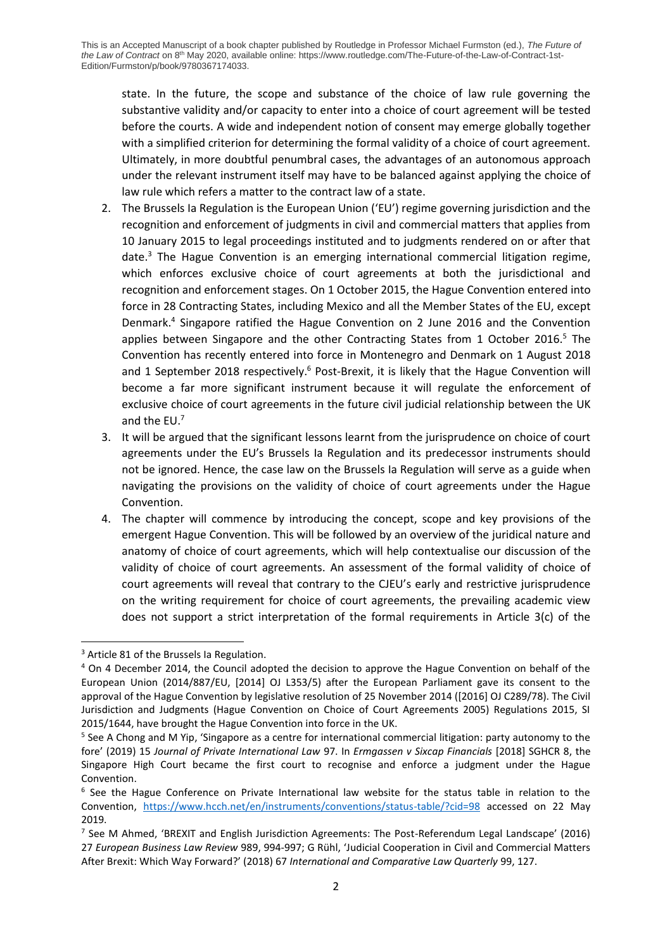state. In the future, the scope and substance of the choice of law rule governing the substantive validity and/or capacity to enter into a choice of court agreement will be tested before the courts. A wide and independent notion of consent may emerge globally together with a simplified criterion for determining the formal validity of a choice of court agreement. Ultimately, in more doubtful penumbral cases, the advantages of an autonomous approach under the relevant instrument itself may have to be balanced against applying the choice of law rule which refers a matter to the contract law of a state.

- 2. The Brussels Ia Regulation is the European Union ('EU') regime governing jurisdiction and the recognition and enforcement of judgments in civil and commercial matters that applies from 10 January 2015 to legal proceedings instituted and to judgments rendered on or after that date.<sup>3</sup> The Hague Convention is an emerging international commercial litigation regime, which enforces exclusive choice of court agreements at both the jurisdictional and recognition and enforcement stages. On 1 October 2015, the Hague Convention entered into force in 28 Contracting States, including Mexico and all the Member States of the EU, except Denmark.<sup>4</sup> Singapore ratified the Hague Convention on 2 June 2016 and the Convention applies between Singapore and the other Contracting States from 1 October 2016.<sup>5</sup> The Convention has recently entered into force in Montenegro and Denmark on 1 August 2018 and 1 September 2018 respectively.<sup>6</sup> Post-Brexit, it is likely that the Hague Convention will become a far more significant instrument because it will regulate the enforcement of exclusive choice of court agreements in the future civil judicial relationship between the UK and the  $EU$ .<sup>7</sup>
- 3. It will be argued that the significant lessons learnt from the jurisprudence on choice of court agreements under the EU's Brussels Ia Regulation and its predecessor instruments should not be ignored. Hence, the case law on the Brussels Ia Regulation will serve as a guide when navigating the provisions on the validity of choice of court agreements under the Hague Convention.
- 4. The chapter will commence by introducing the concept, scope and key provisions of the emergent Hague Convention. This will be followed by an overview of the juridical nature and anatomy of choice of court agreements, which will help contextualise our discussion of the validity of choice of court agreements. An assessment of the formal validity of choice of court agreements will reveal that contrary to the CJEU's early and restrictive jurisprudence on the writing requirement for choice of court agreements, the prevailing academic view does not support a strict interpretation of the formal requirements in Article 3(c) of the

<sup>&</sup>lt;sup>3</sup> Article 81 of the Brussels Ia Regulation.

<sup>4</sup> On 4 December 2014, the Council adopted the decision to approve the Hague Convention on behalf of the European Union (2014/887/EU, [2014] OJ L353/5) after the European Parliament gave its consent to the approval of the Hague Convention by legislative resolution of 25 November 2014 ([2016] OJ C289/78). The Civil Jurisdiction and Judgments (Hague Convention on Choice of Court Agreements 2005) Regulations 2015, SI 2015/1644, have brought the Hague Convention into force in the UK.

<sup>&</sup>lt;sup>5</sup> See A Chong and M Yip, 'Singapore as a centre for international commercial litigation: party autonomy to the fore' (2019) 15 *Journal of Private International Law* 97. In *Ermgassen v Sixcap Financials* [2018] SGHCR 8, the Singapore High Court became the first court to recognise and enforce a judgment under the Hague Convention.

<sup>&</sup>lt;sup>6</sup> See the Hague Conference on Private International law website for the status table in relation to the Convention, <https://www.hcch.net/en/instruments/conventions/status-table/?cid=98> accessed on 22 May 2019.

<sup>&</sup>lt;sup>7</sup> See M Ahmed, 'BREXIT and English Jurisdiction Agreements: The Post-Referendum Legal Landscape' (2016) 27 *European Business Law Review* 989, 994-997; G Rühl, 'Judicial Cooperation in Civil and Commercial Matters After Brexit: Which Way Forward?' (2018) 67 *International and Comparative Law Quarterly* 99, 127.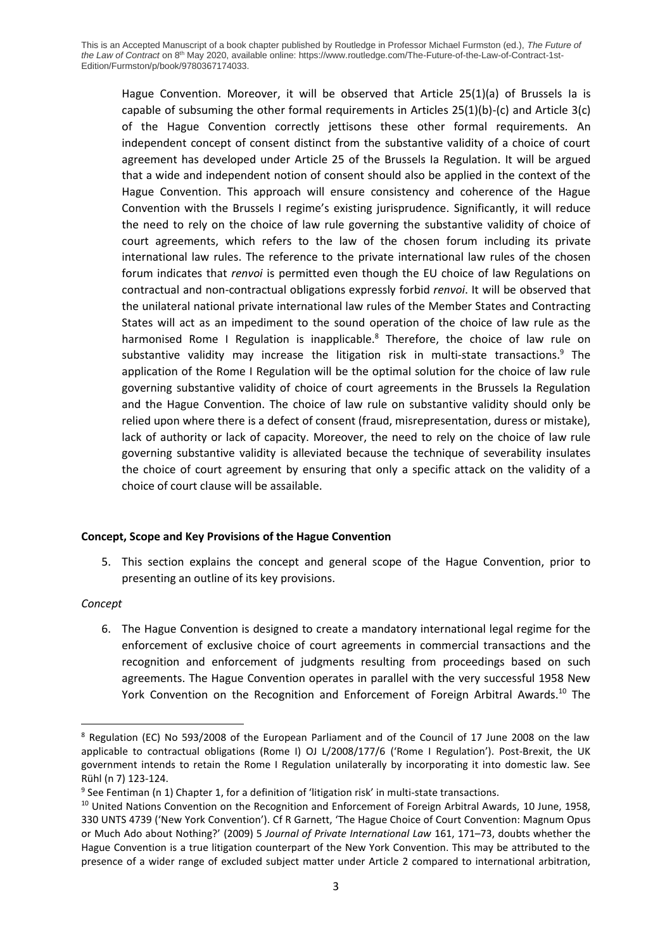Hague Convention. Moreover, it will be observed that Article 25(1)(a) of Brussels Ia is capable of subsuming the other formal requirements in Articles 25(1)(b)-(c) and Article 3(c) of the Hague Convention correctly jettisons these other formal requirements. An independent concept of consent distinct from the substantive validity of a choice of court agreement has developed under Article 25 of the Brussels Ia Regulation. It will be argued that a wide and independent notion of consent should also be applied in the context of the Hague Convention. This approach will ensure consistency and coherence of the Hague Convention with the Brussels I regime's existing jurisprudence. Significantly, it will reduce the need to rely on the choice of law rule governing the substantive validity of choice of court agreements, which refers to the law of the chosen forum including its private international law rules. The reference to the private international law rules of the chosen forum indicates that *renvoi* is permitted even though the EU choice of law Regulations on contractual and non-contractual obligations expressly forbid *renvoi*. It will be observed that the unilateral national private international law rules of the Member States and Contracting States will act as an impediment to the sound operation of the choice of law rule as the harmonised Rome I Regulation is inapplicable.<sup>8</sup> Therefore, the choice of law rule on substantive validity may increase the litigation risk in multi-state transactions. <sup>9</sup> The application of the Rome I Regulation will be the optimal solution for the choice of law rule governing substantive validity of choice of court agreements in the Brussels Ia Regulation and the Hague Convention. The choice of law rule on substantive validity should only be relied upon where there is a defect of consent (fraud, misrepresentation, duress or mistake), lack of authority or lack of capacity. Moreover, the need to rely on the choice of law rule governing substantive validity is alleviated because the technique of severability insulates the choice of court agreement by ensuring that only a specific attack on the validity of a choice of court clause will be assailable.

## **Concept, Scope and Key Provisions of the Hague Convention**

5. This section explains the concept and general scope of the Hague Convention, prior to presenting an outline of its key provisions.

## *Concept*

6. The Hague Convention is designed to create a mandatory international legal regime for the enforcement of exclusive choice of court agreements in commercial transactions and the recognition and enforcement of judgments resulting from proceedings based on such agreements. The Hague Convention operates in parallel with the very successful 1958 New York Convention on the Recognition and Enforcement of Foreign Arbitral Awards.<sup>10</sup> The

<sup>8</sup> Regulation (EC) No 593/2008 of the European Parliament and of the Council of 17 June 2008 on the law applicable to contractual obligations (Rome I) OJ L/2008/177/6 ('Rome I Regulation'). Post-Brexit, the UK government intends to retain the Rome I Regulation unilaterally by incorporating it into domestic law. See Rühl (n 7) 123-124.

<sup>&</sup>lt;sup>9</sup> See Fentiman (n 1) Chapter 1, for a definition of 'litigation risk' in multi-state transactions.

<sup>&</sup>lt;sup>10</sup> United Nations Convention on the Recognition and Enforcement of Foreign Arbitral Awards, 10 June, 1958, 330 UNTS 4739 ('New York Convention'). Cf R Garnett, 'The Hague Choice of Court Convention: Magnum Opus or Much Ado about Nothing?' (2009) 5 *Journal of Private International Law* 161, 171–73, doubts whether the Hague Convention is a true litigation counterpart of the New York Convention. This may be attributed to the presence of a wider range of excluded subject matter under Article 2 compared to international arbitration,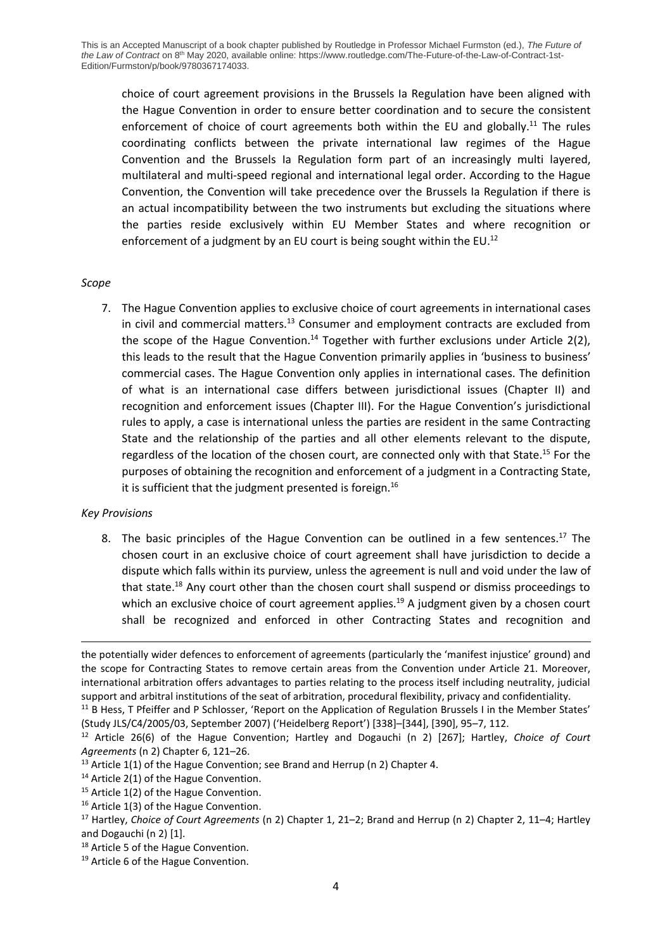choice of court agreement provisions in the Brussels Ia Regulation have been aligned with the Hague Convention in order to ensure better coordination and to secure the consistent enforcement of choice of court agreements both within the EU and globally.<sup>11</sup> The rules coordinating conflicts between the private international law regimes of the Hague Convention and the Brussels Ia Regulation form part of an increasingly multi layered, multilateral and multi-speed regional and international legal order. According to the Hague Convention, the Convention will take precedence over the Brussels Ia Regulation if there is an actual incompatibility between the two instruments but excluding the situations where the parties reside exclusively within EU Member States and where recognition or enforcement of a judgment by an EU court is being sought within the EU.<sup>12</sup>

#### *Scope*

7. The Hague Convention applies to exclusive choice of court agreements in international cases in civil and commercial matters.<sup>13</sup> Consumer and employment contracts are excluded from the scope of the Hague Convention.<sup>14</sup> Together with further exclusions under Article 2(2), this leads to the result that the Hague Convention primarily applies in 'business to business' commercial cases. The Hague Convention only applies in international cases. The definition of what is an international case differs between jurisdictional issues (Chapter II) and recognition and enforcement issues (Chapter III). For the Hague Convention's jurisdictional rules to apply, a case is international unless the parties are resident in the same Contracting State and the relationship of the parties and all other elements relevant to the dispute, regardless of the location of the chosen court, are connected only with that State.<sup>15</sup> For the purposes of obtaining the recognition and enforcement of a judgment in a Contracting State, it is sufficient that the judgment presented is foreign.<sup>16</sup>

#### *Key Provisions*

8. The basic principles of the Hague Convention can be outlined in a few sentences.<sup>17</sup> The chosen court in an exclusive choice of court agreement shall have jurisdiction to decide a dispute which falls within its purview, unless the agreement is null and void under the law of that state.<sup>18</sup> Any court other than the chosen court shall suspend or dismiss proceedings to which an exclusive choice of court agreement applies.<sup>19</sup> A judgment given by a chosen court shall be recognized and enforced in other Contracting States and recognition and

the potentially wider defences to enforcement of agreements (particularly the 'manifest injustice' ground) and the scope for Contracting States to remove certain areas from the Convention under Article 21. Moreover, international arbitration offers advantages to parties relating to the process itself including neutrality, judicial support and arbitral institutions of the seat of arbitration, procedural flexibility, privacy and confidentiality.

<sup>&</sup>lt;sup>11</sup> B Hess, T Pfeiffer and P Schlosser, 'Report on the Application of Regulation Brussels I in the Member States' (Study JLS/C4/2005/03, September 2007) ('Heidelberg Report') [338]–[344], [390], 95–7, 112.

<sup>12</sup> Article 26(6) of the Hague Convention; Hartley and Dogauchi (n 2) [267]; Hartley, *Choice of Court Agreements* (n 2) Chapter 6, 121–26.

<sup>&</sup>lt;sup>13</sup> Article 1(1) of the Hague Convention; see Brand and Herrup (n 2) Chapter 4.

 $14$  Article 2(1) of the Hague Convention.

<sup>&</sup>lt;sup>15</sup> Article 1(2) of the Hague Convention.

<sup>&</sup>lt;sup>16</sup> Article 1(3) of the Hague Convention.

<sup>17</sup> Hartley, *Choice of Court Agreements* (n 2) Chapter 1, 21–2; Brand and Herrup (n 2) Chapter 2, 11–4; Hartley and Dogauchi (n 2) [1].

<sup>&</sup>lt;sup>18</sup> Article 5 of the Hague Convention.

<sup>&</sup>lt;sup>19</sup> Article 6 of the Hague Convention.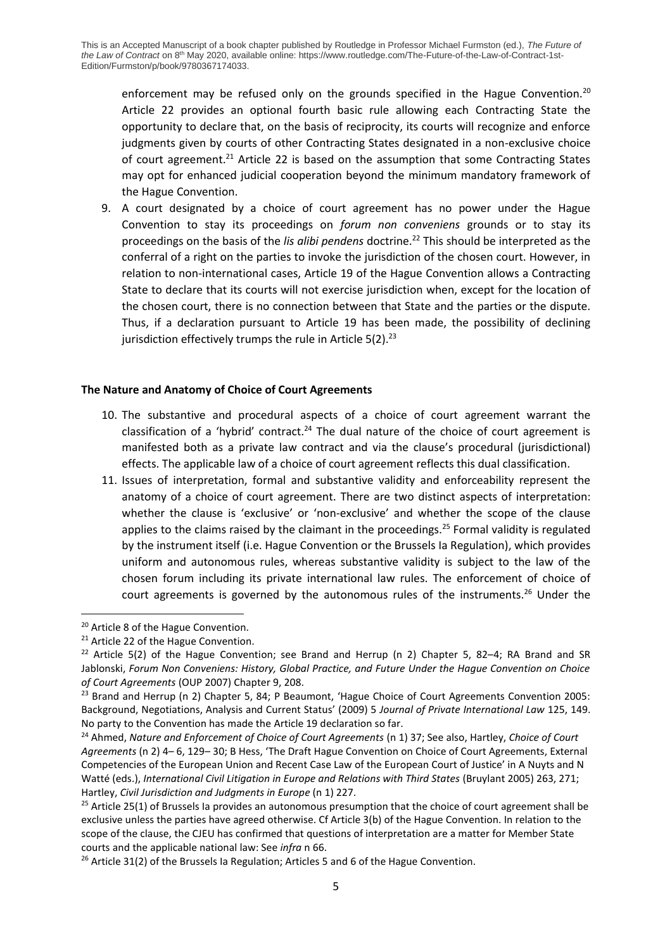enforcement may be refused only on the grounds specified in the Hague Convention.<sup>20</sup> Article 22 provides an optional fourth basic rule allowing each Contracting State the opportunity to declare that, on the basis of reciprocity, its courts will recognize and enforce judgments given by courts of other Contracting States designated in a non-exclusive choice of court agreement.<sup>21</sup> Article 22 is based on the assumption that some Contracting States may opt for enhanced judicial cooperation beyond the minimum mandatory framework of the Hague Convention.

9. A court designated by a choice of court agreement has no power under the Hague Convention to stay its proceedings on *forum non conveniens* grounds or to stay its proceedings on the basis of the *lis alibi pendens* doctrine.<sup>22</sup> This should be interpreted as the conferral of a right on the parties to invoke the jurisdiction of the chosen court. However, in relation to non-international cases, Article 19 of the Hague Convention allows a Contracting State to declare that its courts will not exercise jurisdiction when, except for the location of the chosen court, there is no connection between that State and the parties or the dispute. Thus, if a declaration pursuant to Article 19 has been made, the possibility of declining jurisdiction effectively trumps the rule in Article  $5(2).^{23}$ 

## **The Nature and Anatomy of Choice of Court Agreements**

- 10. The substantive and procedural aspects of a choice of court agreement warrant the classification of a 'hybrid' contract.<sup>24</sup> The dual nature of the choice of court agreement is manifested both as a private law contract and via the clause's procedural (jurisdictional) effects. The applicable law of a choice of court agreement reflects this dual classification.
- 11. Issues of interpretation, formal and substantive validity and enforceability represent the anatomy of a choice of court agreement. There are two distinct aspects of interpretation: whether the clause is 'exclusive' or 'non-exclusive' and whether the scope of the clause applies to the claims raised by the claimant in the proceedings.<sup>25</sup> Formal validity is regulated by the instrument itself (i.e. Hague Convention or the Brussels Ia Regulation), which provides uniform and autonomous rules, whereas substantive validity is subject to the law of the chosen forum including its private international law rules. The enforcement of choice of court agreements is governed by the autonomous rules of the instruments.<sup>26</sup> Under the

<sup>&</sup>lt;sup>20</sup> Article 8 of the Hague Convention.

<sup>&</sup>lt;sup>21</sup> Article 22 of the Hague Convention.

<sup>&</sup>lt;sup>22</sup> Article 5(2) of the Hague Convention; see Brand and Herrup (n 2) Chapter 5, 82–4; RA Brand and SR Jablonski, *Forum Non Conveniens: History, Global Practice, and Future Under the Hague Convention on Choice of Court Agreements* (OUP 2007) Chapter 9, 208.

<sup>&</sup>lt;sup>23</sup> Brand and Herrup (n 2) Chapter 5, 84; P Beaumont, 'Hague Choice of Court Agreements Convention 2005: Background, Negotiations, Analysis and Current Status' (2009) 5 *Journal of Private International Law* 125, 149. No party to the Convention has made the Article 19 declaration so far.

<sup>24</sup> Ahmed, *Nature and Enforcement of Choice of Court Agreements* (n 1) 37; See also, Hartley, *Choice of Court Agreements* (n 2) 4– 6, 129– 30; B Hess, 'The Draft Hague Convention on Choice of Court Agreements, External Competencies of the European Union and Recent Case Law of the European Court of Justice' in A Nuyts and N Watté (eds.), *International Civil Litigation in Europe and Relations with Third States* (Bruylant 2005) 263, 271; Hartley, *Civil Jurisdiction and Judgments in Europe* (n 1) 227.

 $25$  Article 25(1) of Brussels Ia provides an autonomous presumption that the choice of court agreement shall be exclusive unless the parties have agreed otherwise. Cf Article 3(b) of the Hague Convention. In relation to the scope of the clause, the CJEU has confirmed that questions of interpretation are a matter for Member State courts and the applicable national law: See *infra* n 66.

<sup>&</sup>lt;sup>26</sup> Article 31(2) of the Brussels Ia Regulation; Articles 5 and 6 of the Hague Convention.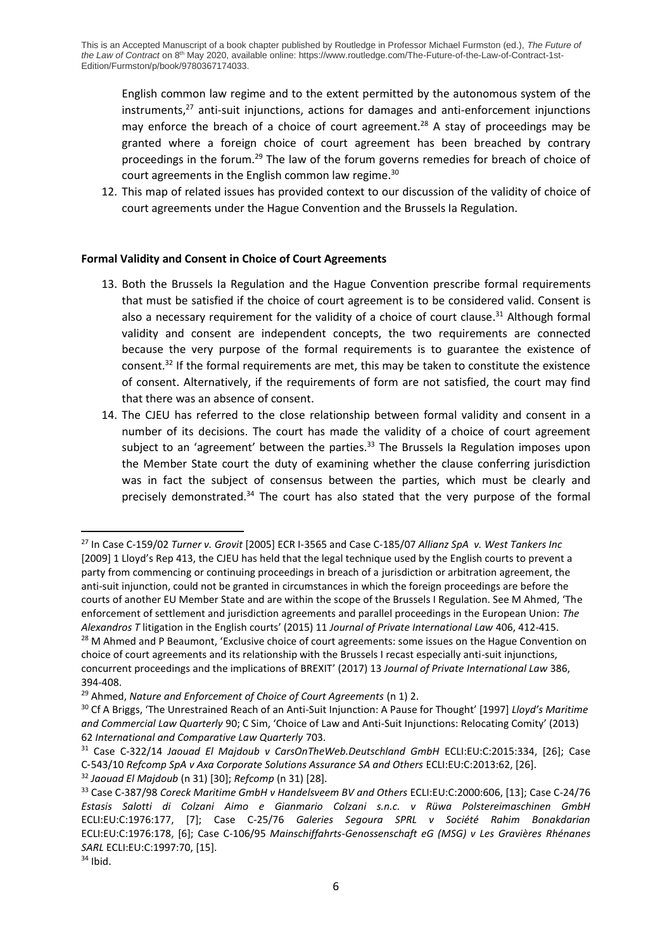English common law regime and to the extent permitted by the autonomous system of the instruments.<sup>27</sup> anti-suit injunctions, actions for damages and anti-enforcement injunctions may enforce the breach of a choice of court agreement.<sup>28</sup> A stay of proceedings may be granted where a foreign choice of court agreement has been breached by contrary proceedings in the forum.<sup>29</sup> The law of the forum governs remedies for breach of choice of court agreements in the English common law regime.<sup>30</sup>

12. This map of related issues has provided context to our discussion of the validity of choice of court agreements under the Hague Convention and the Brussels Ia Regulation.

## **Formal Validity and Consent in Choice of Court Agreements**

- 13. Both the Brussels Ia Regulation and the Hague Convention prescribe formal requirements that must be satisfied if the choice of court agreement is to be considered valid. Consent is also a necessary requirement for the validity of a choice of court clause.<sup>31</sup> Although formal validity and consent are independent concepts, the two requirements are connected because the very purpose of the formal requirements is to guarantee the existence of consent.<sup>32</sup> If the formal requirements are met, this may be taken to constitute the existence of consent. Alternatively, if the requirements of form are not satisfied, the court may find that there was an absence of consent.
- 14. The CJEU has referred to the close relationship between formal validity and consent in a number of its decisions. The court has made the validity of a choice of court agreement subject to an 'agreement' between the parties.<sup>33</sup> The Brussels Ia Regulation imposes upon the Member State court the duty of examining whether the clause conferring jurisdiction was in fact the subject of consensus between the parties, which must be clearly and precisely demonstrated.<sup>34</sup> The court has also stated that the very purpose of the formal

<sup>27</sup> In Case C-159/02 *Turner v. Grovit* [2005] ECR I-3565 and Case C-185/07 *Allianz SpA v. West Tankers Inc* [2009] 1 Lloyd's Rep 413, the CJEU has held that the legal technique used by the English courts to prevent a party from commencing or continuing proceedings in breach of a jurisdiction or arbitration agreement, the anti-suit injunction, could not be granted in circumstances in which the foreign proceedings are before the courts of another EU Member State and are within the scope of the Brussels I Regulation. See M Ahmed, 'The enforcement of settlement and jurisdiction agreements and parallel proceedings in the European Union: *The Alexandros T* litigation in the English courts' (2015) 11 *Journal of Private International Law* 406, 412-415.

<sup>&</sup>lt;sup>28</sup> M Ahmed and P Beaumont, 'Exclusive choice of court agreements: some issues on the Hague Convention on choice of court agreements and its relationship with the Brussels I recast especially anti-suit injunctions, concurrent proceedings and the implications of BREXIT' (2017) 13 *Journal of Private International Law* 386, 394-408.

<sup>29</sup> Ahmed, *Nature and Enforcement of Choice of Court Agreements* (n 1) 2.

<sup>30</sup> Cf A Briggs, 'The Unrestrained Reach of an Anti-Suit Injunction: A Pause for Thought' [1997] *Lloyd's Maritime and Commercial Law Quarterly* 90; C Sim, 'Choice of Law and Anti-Suit Injunctions: Relocating Comity' (2013) 62 *International and Comparative Law Quarterly* 703.

<sup>31</sup> Case C-322/14 *Jaouad El Majdoub v CarsOnTheWeb.Deutschland GmbH* ECLI:EU:C:2015:334, [26]; Case C‑543/10 *Refcomp SpA v Axa Corporate Solutions Assurance SA and Others* ECLI:EU:C:2013:62, [26]. <sup>32</sup> *Jaouad El Majdoub* (n 31) [30]; *Refcomp* (n 31) [28].

<sup>33</sup> Case C-387/98 *Coreck Maritime GmbH v Handelsveem BV and Others* ECLI:EU:C:2000:606, [13]; Case C-24/76 *Estasis Salotti di Colzani Aimo e Gianmario Colzani s.n.c. v Rüwa Polstereimaschinen GmbH* ECLI:EU:C:1976:177, [7]; Case C-25/76 *Galeries Segoura SPRL v Société Rahim Bonakdarian* ECLI:EU:C:1976:178, [6]; Case C-106/95 *Mainschiffahrts-Genossenschaft eG (MSG) v Les Gravières Rhénanes SARL* ECLI:EU:C:1997:70, [15].

 $34$  Ibid.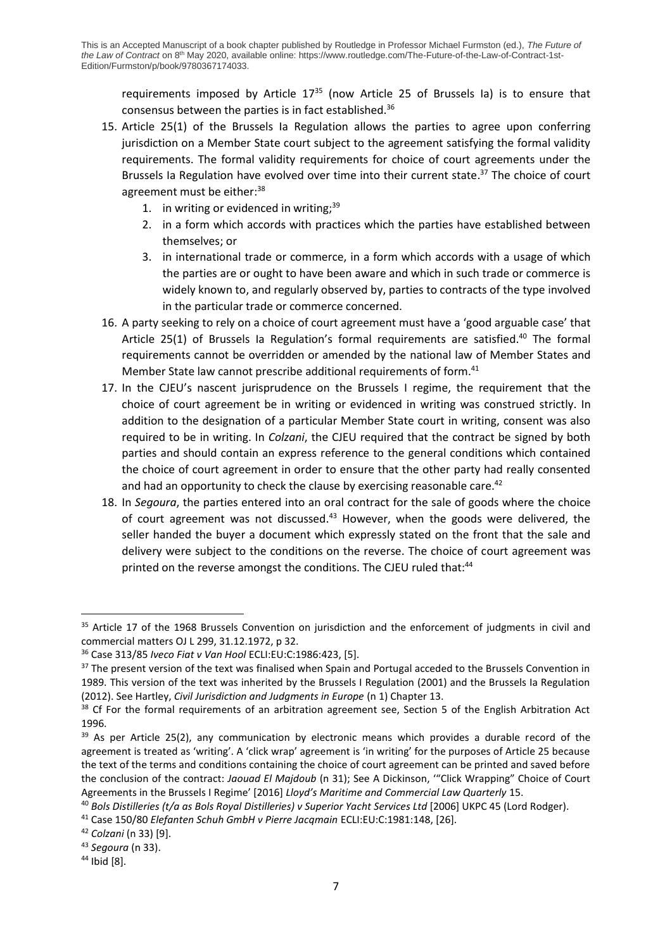requirements imposed by Article  $17^{35}$  (now Article 25 of Brussels Ia) is to ensure that consensus between the parties is in fact established.<sup>36</sup>

- 15. Article 25(1) of the Brussels Ia Regulation allows the parties to agree upon conferring jurisdiction on a Member State court subject to the agreement satisfying the formal validity requirements. The formal validity requirements for choice of court agreements under the Brussels Ia Regulation have evolved over time into their current state.<sup>37</sup> The choice of court agreement must be either:<sup>38</sup>
	- 1. in writing or evidenced in writing;<sup>39</sup>
	- 2. in a form which accords with practices which the parties have established between themselves; or
	- 3. in international trade or commerce, in a form which accords with a usage of which the parties are or ought to have been aware and which in such trade or commerce is widely known to, and regularly observed by, parties to contracts of the type involved in the particular trade or commerce concerned.
- 16. A party seeking to rely on a choice of court agreement must have a 'good arguable case' that Article 25(1) of Brussels Ia Regulation's formal requirements are satisfied.<sup>40</sup> The formal requirements cannot be overridden or amended by the national law of Member States and Member State law cannot prescribe additional requirements of form. 41
- 17. In the CJEU's nascent jurisprudence on the Brussels I regime, the requirement that the choice of court agreement be in writing or evidenced in writing was construed strictly. In addition to the designation of a particular Member State court in writing, consent was also required to be in writing. In *Colzani*, the CJEU required that the contract be signed by both parties and should contain an express reference to the general conditions which contained the choice of court agreement in order to ensure that the other party had really consented and had an opportunity to check the clause by exercising reasonable care.<sup>42</sup>
- 18. In *Segoura*, the parties entered into an oral contract for the sale of goods where the choice of court agreement was not discussed.<sup>43</sup> However, when the goods were delivered, the seller handed the buyer a document which expressly stated on the front that the sale and delivery were subject to the conditions on the reverse. The choice of court agreement was printed on the reverse amongst the conditions. The CJEU ruled that:<sup>44</sup>

<sup>&</sup>lt;sup>35</sup> Article 17 of the 1968 Brussels Convention on jurisdiction and the enforcement of judgments in civil and commercial matters OJ L 299, 31.12.1972, p 32.

<sup>36</sup> Case 313/85 *Iveco Fiat v Van Hool* ECLI:EU:C:1986:423, [5].

<sup>&</sup>lt;sup>37</sup> The present version of the text was finalised when Spain and Portugal acceded to the Brussels Convention in 1989. This version of the text was inherited by the Brussels I Regulation (2001) and the Brussels Ia Regulation (2012). See Hartley, *Civil Jurisdiction and Judgments in Europe* (n 1) Chapter 13.

<sup>&</sup>lt;sup>38</sup> Cf For the formal requirements of an arbitration agreement see, Section 5 of the English Arbitration Act 1996.

<sup>&</sup>lt;sup>39</sup> As per Article 25(2), any communication by electronic means which provides a durable record of the agreement is treated as 'writing'. A 'click wrap' agreement is 'in writing' for the purposes of Article 25 because the text of the terms and conditions containing the choice of court agreement can be printed and saved before the conclusion of the contract: *Jaouad El Majdoub* (n 31); See A Dickinson, '"Click Wrapping" Choice of Court Agreements in the Brussels I Regime' [2016] *Lloyd's Maritime and Commercial Law Quarterly* 15.

<sup>40</sup> *Bols Distilleries (t/a as Bols Royal Distilleries) v Superior Yacht Services Ltd* [2006] UKPC 45 (Lord Rodger).

<sup>41</sup> Case 150/80 *Elefanten Schuh GmbH v Pierre Jacqmain* ECLI:EU:C:1981:148, [26].

<sup>42</sup> *Colzani* (n 33) [9].

<sup>43</sup> *Segoura* (n 33).

<sup>44</sup> Ibid [8].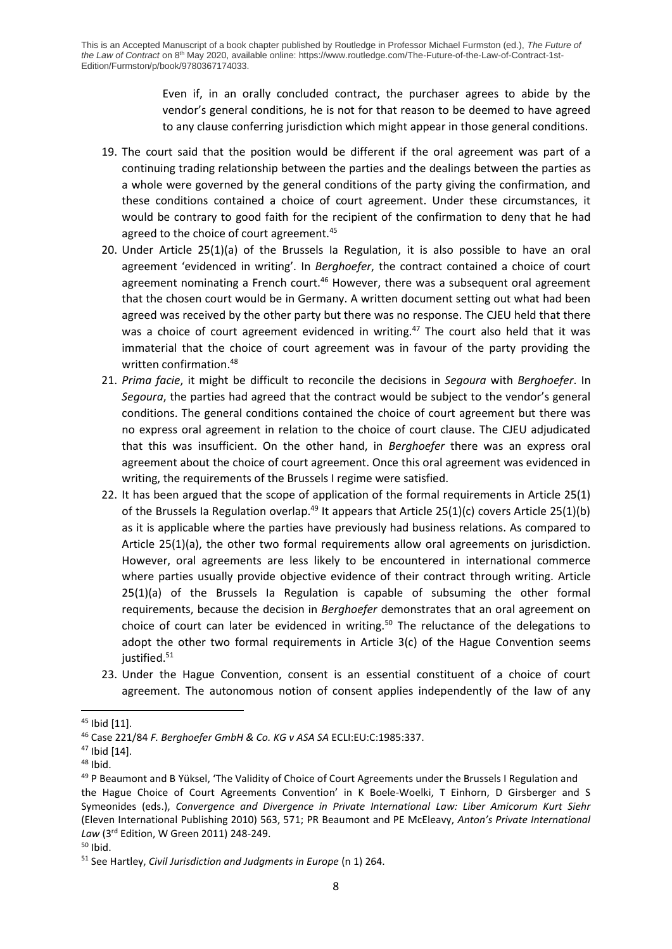Even if, in an orally concluded contract, the purchaser agrees to abide by the vendor's general conditions, he is not for that reason to be deemed to have agreed to any clause conferring jurisdiction which might appear in those general conditions.

- 19. The court said that the position would be different if the oral agreement was part of a continuing trading relationship between the parties and the dealings between the parties as a whole were governed by the general conditions of the party giving the confirmation, and these conditions contained a choice of court agreement. Under these circumstances, it would be contrary to good faith for the recipient of the confirmation to deny that he had agreed to the choice of court agreement.<sup>45</sup>
- 20. Under Article 25(1)(a) of the Brussels Ia Regulation, it is also possible to have an oral agreement 'evidenced in writing'. In *Berghoefer*, the contract contained a choice of court agreement nominating a French court. $46$  However, there was a subsequent oral agreement that the chosen court would be in Germany. A written document setting out what had been agreed was received by the other party but there was no response. The CJEU held that there was a choice of court agreement evidenced in writing.<sup>47</sup> The court also held that it was immaterial that the choice of court agreement was in favour of the party providing the written confirmation.<sup>48</sup>
- 21. *Prima facie*, it might be difficult to reconcile the decisions in *Segoura* with *Berghoefer*. In *Segoura*, the parties had agreed that the contract would be subject to the vendor's general conditions. The general conditions contained the choice of court agreement but there was no express oral agreement in relation to the choice of court clause. The CJEU adjudicated that this was insufficient. On the other hand, in *Berghoefer* there was an express oral agreement about the choice of court agreement. Once this oral agreement was evidenced in writing, the requirements of the Brussels I regime were satisfied.
- 22. It has been argued that the scope of application of the formal requirements in Article 25(1) of the Brussels Ia Regulation overlap.<sup>49</sup> It appears that Article 25(1)(c) covers Article 25(1)(b) as it is applicable where the parties have previously had business relations. As compared to Article 25(1)(a), the other two formal requirements allow oral agreements on jurisdiction. However, oral agreements are less likely to be encountered in international commerce where parties usually provide objective evidence of their contract through writing. Article 25(1)(a) of the Brussels Ia Regulation is capable of subsuming the other formal requirements, because the decision in *Berghoefer* demonstrates that an oral agreement on choice of court can later be evidenced in writing.<sup>50</sup> The reluctance of the delegations to adopt the other two formal requirements in Article 3(c) of the Hague Convention seems justified. 51
- 23. Under the Hague Convention, consent is an essential constituent of a choice of court agreement. The autonomous notion of consent applies independently of the law of any

<sup>45</sup> Ibid [11].

<sup>46</sup> Case 221/84 *F. Berghoefer GmbH & Co. KG v ASA SA* ECLI:EU:C:1985:337.

<sup>47</sup> Ibid [14].

<sup>48</sup> Ibid.

<sup>&</sup>lt;sup>49</sup> P Beaumont and B Yüksel, 'The Validity of Choice of Court Agreements under the Brussels I Regulation and the Hague Choice of Court Agreements Convention' in K Boele-Woelki, T Einhorn, D Girsberger and S Symeonides (eds.), *Convergence and Divergence in Private International Law: Liber Amicorum Kurt Siehr* (Eleven International Publishing 2010) 563, 571; PR Beaumont and PE McEleavy, *Anton's Private International Law* (3rd Edition, W Green 2011) 248-249.

 $50$  Ibid.

<sup>51</sup> See Hartley, *Civil Jurisdiction and Judgments in Europe* (n 1) 264.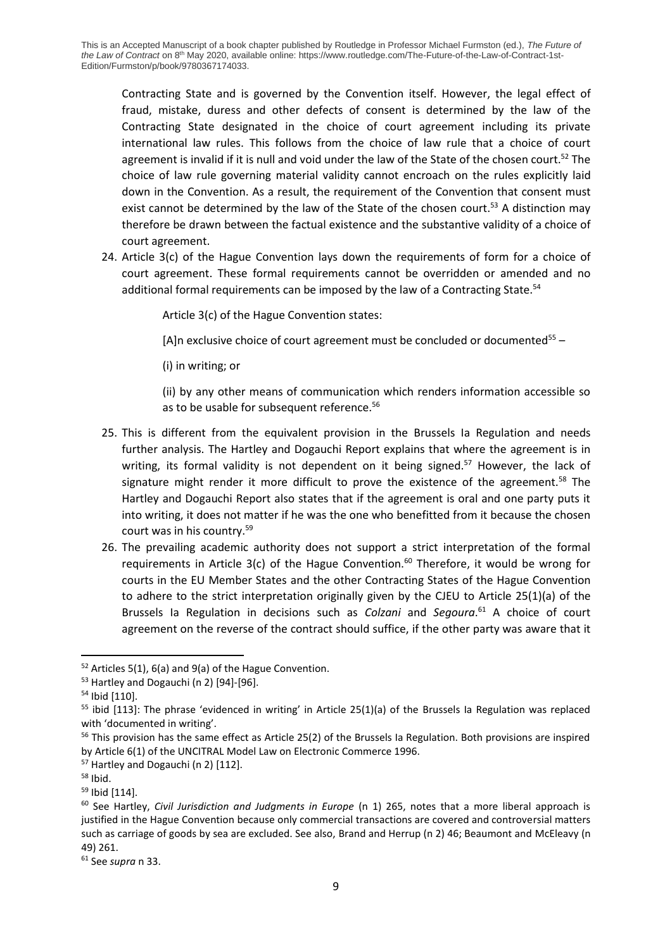Contracting State and is governed by the Convention itself. However, the legal effect of fraud, mistake, duress and other defects of consent is determined by the law of the Contracting State designated in the choice of court agreement including its private international law rules. This follows from the choice of law rule that a choice of court agreement is invalid if it is null and void under the law of the State of the chosen court.<sup>52</sup> The choice of law rule governing material validity cannot encroach on the rules explicitly laid down in the Convention. As a result, the requirement of the Convention that consent must exist cannot be determined by the law of the State of the chosen court.<sup>53</sup> A distinction may therefore be drawn between the factual existence and the substantive validity of a choice of court agreement.

24. Article 3(c) of the Hague Convention lays down the requirements of form for a choice of court agreement. These formal requirements cannot be overridden or amended and no additional formal requirements can be imposed by the law of a Contracting State.<sup>54</sup>

Article 3(c) of the Hague Convention states:

[A]n exclusive choice of court agreement must be concluded or documented $55 -$ 

(i) in writing; or

(ii) by any other means of communication which renders information accessible so as to be usable for subsequent reference.<sup>56</sup>

- 25. This is different from the equivalent provision in the Brussels Ia Regulation and needs further analysis. The Hartley and Dogauchi Report explains that where the agreement is in writing, its formal validity is not dependent on it being signed.<sup>57</sup> However, the lack of signature might render it more difficult to prove the existence of the agreement. $58$  The Hartley and Dogauchi Report also states that if the agreement is oral and one party puts it into writing, it does not matter if he was the one who benefitted from it because the chosen court was in his country.<sup>59</sup>
- 26. The prevailing academic authority does not support a strict interpretation of the formal requirements in Article 3(c) of the Hague Convention.<sup>60</sup> Therefore, it would be wrong for courts in the EU Member States and the other Contracting States of the Hague Convention to adhere to the strict interpretation originally given by the CJEU to Article 25(1)(a) of the Brussels Ia Regulation in decisions such as *Colzani* and *Segoura*. <sup>61</sup> A choice of court agreement on the reverse of the contract should suffice, if the other party was aware that it

 $52$  Articles 5(1), 6(a) and 9(a) of the Hague Convention.

<sup>53</sup> Hartley and Dogauchi (n 2) [94]-[96].

<sup>54</sup> Ibid [110].

 $55$  ibid [113]: The phrase 'evidenced in writing' in Article 25(1)(a) of the Brussels Ia Regulation was replaced with 'documented in writing'.

<sup>&</sup>lt;sup>56</sup> This provision has the same effect as Article 25(2) of the Brussels Ia Regulation. Both provisions are inspired by Article 6(1) of the UNCITRAL Model Law on Electronic Commerce 1996.

<sup>57</sup> Hartley and Dogauchi (n 2) [112].

 $58$  Ibid.

<sup>59</sup> Ibid [114].

<sup>60</sup> See Hartley, *Civil Jurisdiction and Judgments in Europe* (n 1) 265, notes that a more liberal approach is justified in the Hague Convention because only commercial transactions are covered and controversial matters such as carriage of goods by sea are excluded. See also, Brand and Herrup (n 2) 46; Beaumont and McEleavy (n 49) 261.

<sup>61</sup> See *supra* n 33.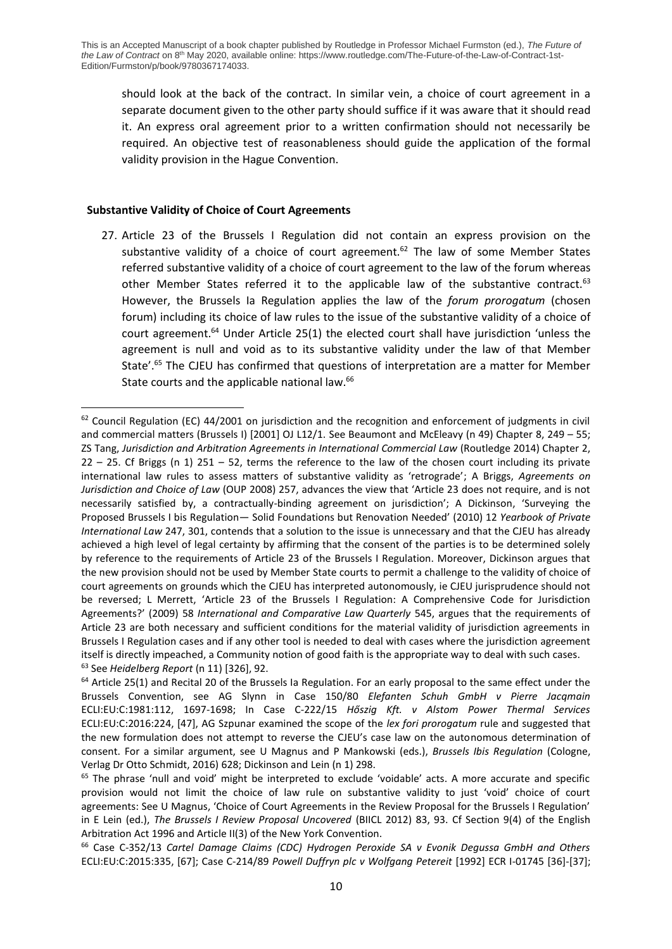should look at the back of the contract. In similar vein, a choice of court agreement in a separate document given to the other party should suffice if it was aware that it should read it. An express oral agreement prior to a written confirmation should not necessarily be required. An objective test of reasonableness should guide the application of the formal validity provision in the Hague Convention.

## **Substantive Validity of Choice of Court Agreements**

27. Article 23 of the Brussels I Regulation did not contain an express provision on the substantive validity of a choice of court agreement.<sup>62</sup> The law of some Member States referred substantive validity of a choice of court agreement to the law of the forum whereas other Member States referred it to the applicable law of the substantive contract. $63$ However, the Brussels Ia Regulation applies the law of the *forum prorogatum* (chosen forum) including its choice of law rules to the issue of the substantive validity of a choice of court agreement.<sup>64</sup> Under Article 25(1) the elected court shall have jurisdiction 'unless the agreement is null and void as to its substantive validity under the law of that Member State'. <sup>65</sup> The CJEU has confirmed that questions of interpretation are a matter for Member State courts and the applicable national law.<sup>66</sup>

<sup>62</sup> Council Regulation (EC) 44/2001 on jurisdiction and the recognition and enforcement of judgments in civil and commercial matters (Brussels I) [2001] OJ L12/1. See Beaumont and McEleavy (n 49) Chapter 8, 249 – 55; ZS Tang, *Jurisdiction and Arbitration Agreements in International Commercial Law* (Routledge 2014) Chapter 2, 22 – 25. Cf Briggs (n 1) 251 – 52, terms the reference to the law of the chosen court including its private international law rules to assess matters of substantive validity as 'retrograde'; A Briggs, *Agreements on Jurisdiction and Choice of Law* (OUP 2008) 257, advances the view that 'Article 23 does not require, and is not necessarily satisfied by, a contractually-binding agreement on jurisdiction'; A Dickinson, 'Surveying the Proposed Brussels I bis Regulation— Solid Foundations but Renovation Needed' (2010) 12 *Yearbook of Private International Law* 247, 301, contends that a solution to the issue is unnecessary and that the CJEU has already achieved a high level of legal certainty by affirming that the consent of the parties is to be determined solely by reference to the requirements of Article 23 of the Brussels I Regulation. Moreover, Dickinson argues that the new provision should not be used by Member State courts to permit a challenge to the validity of choice of court agreements on grounds which the CJEU has interpreted autonomously, ie CJEU jurisprudence should not be reversed; L Merrett, 'Article 23 of the Brussels I Regulation: A Comprehensive Code for Jurisdiction Agreements?' (2009) 58 *International and Comparative Law Quarterly* 545, argues that the requirements of Article 23 are both necessary and sufficient conditions for the material validity of jurisdiction agreements in Brussels I Regulation cases and if any other tool is needed to deal with cases where the jurisdiction agreement itself is directly impeached, a Community notion of good faith is the appropriate way to deal with such cases. <sup>63</sup> See *Heidelberg Report* (n 11) [326], 92.

<sup>&</sup>lt;sup>64</sup> Article 25(1) and Recital 20 of the Brussels Ia Regulation. For an early proposal to the same effect under the Brussels Convention, see AG Slynn in Case 150/80 *Elefanten Schuh GmbH v Pierre Jacqmain* ECLI:EU:C:1981:112, 1697-1698; In Case C-222/15 *Hőszig Kft. v Alstom Power Thermal Services* ECLI:EU:C:2016:224, [47], AG Szpunar examined the scope of the *lex fori prorogatum* rule and suggested that the new formulation does not attempt to reverse the CJEU's case law on the autonomous determination of consent. For a similar argument, see U Magnus and P Mankowski (eds.), *Brussels Ibis Regulation* (Cologne, Verlag Dr Otto Schmidt, 2016) 628; Dickinson and Lein (n 1) 298.

<sup>&</sup>lt;sup>65</sup> The phrase 'null and void' might be interpreted to exclude 'voidable' acts. A more accurate and specific provision would not limit the choice of law rule on substantive validity to just 'void' choice of court agreements: See U Magnus, 'Choice of Court Agreements in the Review Proposal for the Brussels I Regulation' in E Lein (ed.), *The Brussels I Review Proposal Uncovered* (BIICL 2012) 83, 93. Cf Section 9(4) of the English Arbitration Act 1996 and Article II(3) of the New York Convention.

<sup>66</sup> Case C-352/13 *Cartel Damage Claims (CDC) Hydrogen Peroxide SA v Evonik Degussa GmbH and Others* ECLI:EU:C:2015:335, [67]; Case C-214/89 *Powell Duffryn plc v Wolfgang Petereit* [1992] ECR I-01745 [36]-[37];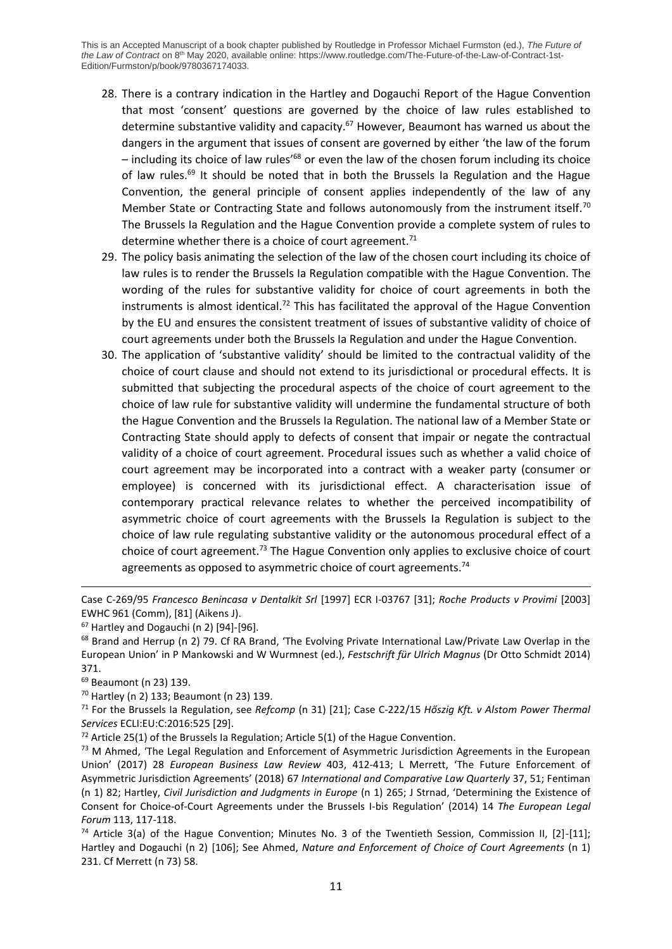- 28. There is a contrary indication in the Hartley and Dogauchi Report of the Hague Convention that most 'consent' questions are governed by the choice of law rules established to determine substantive validity and capacity.<sup>67</sup> However, Beaumont has warned us about the dangers in the argument that issues of consent are governed by either 'the law of the forum  $-$  including its choice of law rules<sup>168</sup> or even the law of the chosen forum including its choice of law rules.<sup>69</sup> It should be noted that in both the Brussels Ia Regulation and the Hague Convention, the general principle of consent applies independently of the law of any Member State or Contracting State and follows autonomously from the instrument itself.<sup>70</sup> The Brussels Ia Regulation and the Hague Convention provide a complete system of rules to determine whether there is a choice of court agreement.<sup>71</sup>
- 29. The policy basis animating the selection of the law of the chosen court including its choice of law rules is to render the Brussels Ia Regulation compatible with the Hague Convention. The wording of the rules for substantive validity for choice of court agreements in both the instruments is almost identical.<sup>72</sup> This has facilitated the approval of the Hague Convention by the EU and ensures the consistent treatment of issues of substantive validity of choice of court agreements under both the Brussels Ia Regulation and under the Hague Convention.
- 30. The application of 'substantive validity' should be limited to the contractual validity of the choice of court clause and should not extend to its jurisdictional or procedural effects. It is submitted that subjecting the procedural aspects of the choice of court agreement to the choice of law rule for substantive validity will undermine the fundamental structure of both the Hague Convention and the Brussels Ia Regulation. The national law of a Member State or Contracting State should apply to defects of consent that impair or negate the contractual validity of a choice of court agreement. Procedural issues such as whether a valid choice of court agreement may be incorporated into a contract with a weaker party (consumer or employee) is concerned with its jurisdictional effect. A characterisation issue of contemporary practical relevance relates to whether the perceived incompatibility of asymmetric choice of court agreements with the Brussels Ia Regulation is subject to the choice of law rule regulating substantive validity or the autonomous procedural effect of a choice of court agreement. <sup>73</sup> The Hague Convention only applies to exclusive choice of court agreements as opposed to asymmetric choice of court agreements.<sup>74</sup>

Case C-269/95 *Francesco Benincasa v Dentalkit Srl* [1997] ECR I-03767 [31]; *Roche Products v Provimi* [2003] EWHC 961 (Comm), [81] (Aikens J).

 $67$  Hartley and Dogauchi (n 2) [94]-[96].

<sup>&</sup>lt;sup>68</sup> Brand and Herrup (n 2) 79. Cf RA Brand, 'The Evolving Private International Law/Private Law Overlap in the European Union' in P Mankowski and W Wurmnest (ed.), *Festschrift für Ulrich Magnus* (Dr Otto Schmidt 2014) 371.

<sup>69</sup> Beaumont (n 23) 139.

<sup>70</sup> Hartley (n 2) 133; Beaumont (n 23) 139.

<sup>71</sup> For the Brussels Ia Regulation, see *Refcomp* (n 31) [21]; Case C-222/15 *Hőszig Kft. v Alstom Power Thermal Services* ECLI:EU:C:2016:525 [29].

 $72$  Article 25(1) of the Brussels Ia Regulation; Article 5(1) of the Hague Convention.

<sup>&</sup>lt;sup>73</sup> M Ahmed, 'The Legal Regulation and Enforcement of Asymmetric Jurisdiction Agreements in the European Union' (2017) 28 *European Business Law Review* 403, 412-413; L Merrett, 'The Future Enforcement of Asymmetric Jurisdiction Agreements' (2018) 67 *International and Comparative Law Quarterly* 37, 51; Fentiman (n 1) 82; Hartley, *Civil Jurisdiction and Judgments in Europe* (n 1) 265; J Strnad, 'Determining the Existence of Consent for Choice-of-Court Agreements under the Brussels I-bis Regulation' (2014) 14 *The European Legal Forum* 113, 117-118.

<sup>&</sup>lt;sup>74</sup> Article 3(a) of the Hague Convention; Minutes No. 3 of the Twentieth Session, Commission II, [2]-[11]; Hartley and Dogauchi (n 2) [106]; See Ahmed, *Nature and Enforcement of Choice of Court Agreements* (n 1) 231. Cf Merrett (n 73) 58.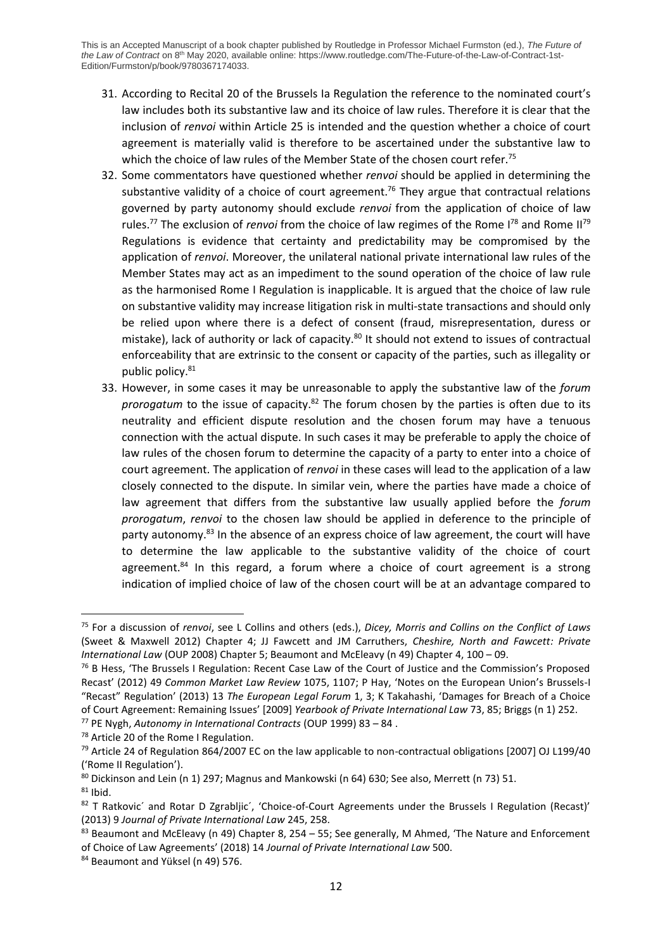- 31. According to Recital 20 of the Brussels Ia Regulation the reference to the nominated court's law includes both its substantive law and its choice of law rules. Therefore it is clear that the inclusion of *renvoi* within Article 25 is intended and the question whether a choice of court agreement is materially valid is therefore to be ascertained under the substantive law to which the choice of law rules of the Member State of the chosen court refer.<sup>75</sup>
- 32. Some commentators have questioned whether *renvoi* should be applied in determining the substantive validity of a choice of court agreement.<sup>76</sup> They argue that contractual relations governed by party autonomy should exclude *renvoi* from the application of choice of law rules.<sup>77</sup> The exclusion of *renvoi* from the choice of law regimes of the Rome I<sup>78</sup> and Rome II<sup>79</sup> Regulations is evidence that certainty and predictability may be compromised by the application of *renvoi*. Moreover, the unilateral national private international law rules of the Member States may act as an impediment to the sound operation of the choice of law rule as the harmonised Rome I Regulation is inapplicable. It is argued that the choice of law rule on substantive validity may increase litigation risk in multi-state transactions and should only be relied upon where there is a defect of consent (fraud, misrepresentation, duress or mistake), lack of authority or lack of capacity.<sup>80</sup> It should not extend to issues of contractual enforceability that are extrinsic to the consent or capacity of the parties, such as illegality or public policy.<sup>81</sup>
- 33. However, in some cases it may be unreasonable to apply the substantive law of the *forum prorogatum* to the issue of capacity.<sup>82</sup> The forum chosen by the parties is often due to its neutrality and efficient dispute resolution and the chosen forum may have a tenuous connection with the actual dispute. In such cases it may be preferable to apply the choice of law rules of the chosen forum to determine the capacity of a party to enter into a choice of court agreement. The application of *renvoi* in these cases will lead to the application of a law closely connected to the dispute. In similar vein, where the parties have made a choice of law agreement that differs from the substantive law usually applied before the *forum prorogatum*, *renvoi* to the chosen law should be applied in deference to the principle of party autonomy.<sup>83</sup> In the absence of an express choice of law agreement, the court will have to determine the law applicable to the substantive validity of the choice of court agreement. $84$  In this regard, a forum where a choice of court agreement is a strong indication of implied choice of law of the chosen court will be at an advantage compared to

<sup>75</sup> For a discussion of *renvoi*, see L Collins and others (eds.), *Dicey, Morris and Collins on the Conflict of Laws* (Sweet & Maxwell 2012) Chapter 4; JJ Fawcett and JM Carruthers, *Cheshire, North and Fawcett: Private International Law* (OUP 2008) Chapter 5; Beaumont and McEleavy (n 49) Chapter 4, 100 – 09.

<sup>&</sup>lt;sup>76</sup> B Hess, 'The Brussels I Regulation: Recent Case Law of the Court of Justice and the Commission's Proposed Recast' (2012) 49 *Common Market Law Review* 1075, 1107; P Hay, 'Notes on the European Union's Brussels-I "Recast" Regulation' (2013) 13 *The European Legal Forum* 1, 3; K Takahashi, 'Damages for Breach of a Choice of Court Agreement: Remaining Issues' [2009] *Yearbook of Private International Law* 73, 85; Briggs (n 1) 252.

<sup>77</sup> PE Nygh, *Autonomy in International Contracts* (OUP 1999) 83 – 84 .

<sup>78</sup> Article 20 of the Rome I Regulation.

<sup>&</sup>lt;sup>79</sup> Article 24 of Regulation 864/2007 EC on the law applicable to non-contractual obligations [2007] OJ L199/40 ('Rome II Regulation').

<sup>&</sup>lt;sup>80</sup> Dickinson and Lein (n 1) 297; Magnus and Mankowski (n 64) 630; See also, Merrett (n 73) 51.

 $81$  Ibid.

<sup>82</sup> T Ratkovic' and Rotar D Zgrabljic', 'Choice-of-Court Agreements under the Brussels I Regulation (Recast)' (2013) 9 *Journal of Private International Law* 245, 258.

<sup>83</sup> Beaumont and McEleavy (n 49) Chapter 8, 254 – 55; See generally, M Ahmed, 'The Nature and Enforcement of Choice of Law Agreements' (2018) 14 *Journal of Private International Law* 500.

<sup>84</sup> Beaumont and Yüksel (n 49) 576.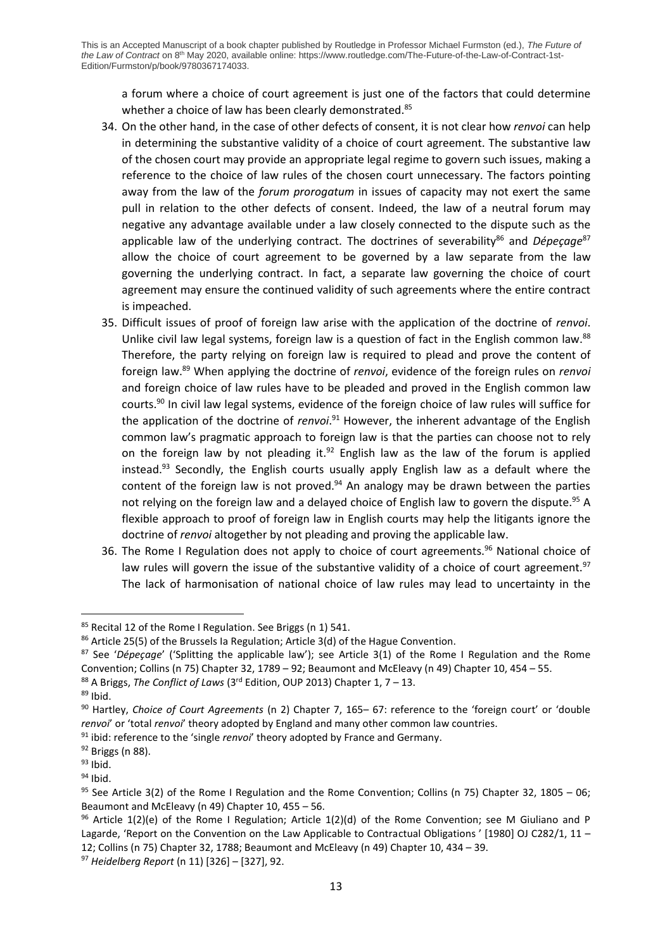a forum where a choice of court agreement is just one of the factors that could determine whether a choice of law has been clearly demonstrated.<sup>85</sup>

- 34. On the other hand, in the case of other defects of consent, it is not clear how *renvoi* can help in determining the substantive validity of a choice of court agreement. The substantive law of the chosen court may provide an appropriate legal regime to govern such issues, making a reference to the choice of law rules of the chosen court unnecessary. The factors pointing away from the law of the *forum prorogatum* in issues of capacity may not exert the same pull in relation to the other defects of consent. Indeed, the law of a neutral forum may negative any advantage available under a law closely connected to the dispute such as the applicable law of the underlying contract. The doctrines of severability<sup>86</sup> and *Dépeçage*<sup>87</sup> allow the choice of court agreement to be governed by a law separate from the law governing the underlying contract. In fact, a separate law governing the choice of court agreement may ensure the continued validity of such agreements where the entire contract is impeached.
- 35. Difficult issues of proof of foreign law arise with the application of the doctrine of *renvoi*. Unlike civil law legal systems, foreign law is a question of fact in the English common law.<sup>88</sup> Therefore, the party relying on foreign law is required to plead and prove the content of foreign law.<sup>89</sup> When applying the doctrine of *renvoi*, evidence of the foreign rules on *renvoi* and foreign choice of law rules have to be pleaded and proved in the English common law courts.<sup>90</sup> In civil law legal systems, evidence of the foreign choice of law rules will suffice for the application of the doctrine of *renvoi*.<sup>91</sup> However, the inherent advantage of the English common law's pragmatic approach to foreign law is that the parties can choose not to rely on the foreign law by not pleading it.<sup>92</sup> English law as the law of the forum is applied instead.<sup>93</sup> Secondly, the English courts usually apply English law as a default where the content of the foreign law is not proved. $94$  An analogy may be drawn between the parties not relying on the foreign law and a delayed choice of English law to govern the dispute.<sup>95</sup> A flexible approach to proof of foreign law in English courts may help the litigants ignore the doctrine of *renvoi* altogether by not pleading and proving the applicable law.
- 36. The Rome I Regulation does not apply to choice of court agreements.<sup>96</sup> National choice of law rules will govern the issue of the substantive validity of a choice of court agreement.<sup>97</sup> The lack of harmonisation of national choice of law rules may lead to uncertainty in the

<sup>87</sup> See '*Dépeçage*' ('Splitting the applicable law'); see Article 3(1) of the Rome I Regulation and the Rome Convention; Collins (n 75) Chapter 32, 1789 – 92; Beaumont and McEleavy (n 49) Chapter 10, 454 – 55.

<sup>85</sup> Recital 12 of the Rome I Regulation. See Briggs (n 1) 541.

<sup>86</sup> Article 25(5) of the Brussels Ia Regulation; Article 3(d) of the Hague Convention.

<sup>&</sup>lt;sup>88</sup> A Briggs, *The Conflict of Laws* (3<sup>rd</sup> Edition, OUP 2013) Chapter 1, 7 – 13.

 $89$  Ibid.

<sup>90</sup> Hartley, *Choice of Court Agreements* (n 2) Chapter 7, 165– 67: reference to the 'foreign court' or 'double *renvoi*' or 'total *renvoi*' theory adopted by England and many other common law countries.

<sup>&</sup>lt;sup>91</sup> ibid: reference to the 'single *renvoi*' theory adopted by France and Germany.

 $92$  Briggs (n 88).

 $93$  Ibid.

 $94$  Ibid.

<sup>&</sup>lt;sup>95</sup> See Article 3(2) of the Rome I Regulation and the Rome Convention; Collins (n 75) Chapter 32, 1805 – 06; Beaumont and McEleavy (n 49) Chapter 10, 455 – 56.

<sup>&</sup>lt;sup>96</sup> Article 1(2)(e) of the Rome I Regulation; Article 1(2)(d) of the Rome Convention; see M Giuliano and P Lagarde, 'Report on the Convention on the Law Applicable to Contractual Obligations ' [1980] OJ C282/1, 11 – 12; Collins (n 75) Chapter 32, 1788; Beaumont and McEleavy (n 49) Chapter 10, 434 – 39.

<sup>97</sup> *Heidelberg Report* (n 11) [326] – [327], 92.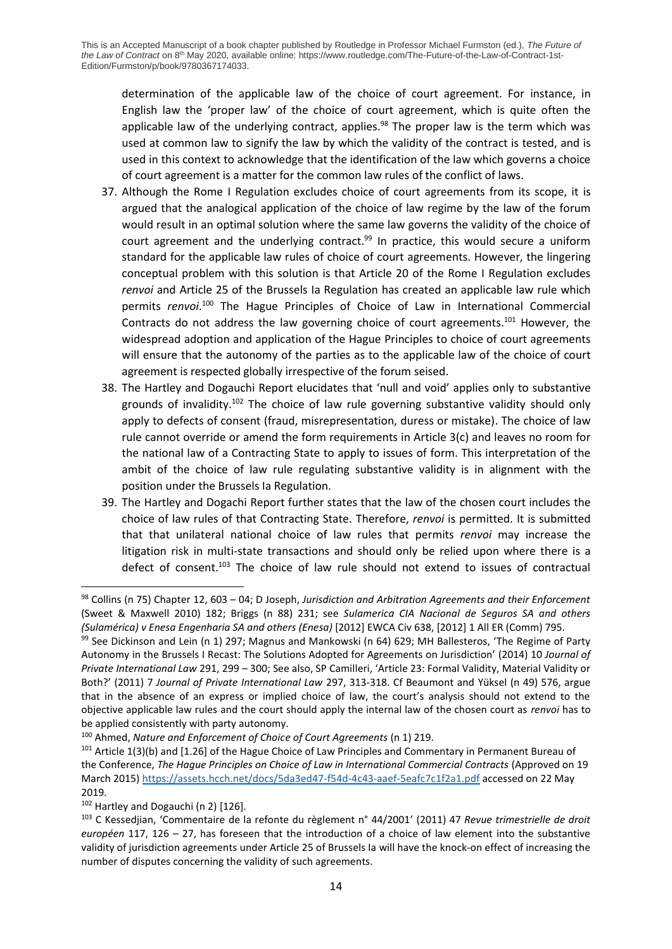determination of the applicable law of the choice of court agreement. For instance, in English law the 'proper law' of the choice of court agreement, which is quite often the applicable law of the underlying contract, applies. $98$  The proper law is the term which was used at common law to signify the law by which the validity of the contract is tested, and is used in this context to acknowledge that the identification of the law which governs a choice of court agreement is a matter for the common law rules of the conflict of laws.

- 37. Although the Rome I Regulation excludes choice of court agreements from its scope, it is argued that the analogical application of the choice of law regime by the law of the forum would result in an optimal solution where the same law governs the validity of the choice of court agreement and the underlying contract.<sup>99</sup> In practice, this would secure a uniform standard for the applicable law rules of choice of court agreements. However, the lingering conceptual problem with this solution is that Article 20 of the Rome I Regulation excludes *renvoi* and Article 25 of the Brussels Ia Regulation has created an applicable law rule which permits *renvoi*. <sup>100</sup> The Hague Principles of Choice of Law in International Commercial Contracts do not address the law governing choice of court agreements.<sup>101</sup> However, the widespread adoption and application of the Hague Principles to choice of court agreements will ensure that the autonomy of the parties as to the applicable law of the choice of court agreement is respected globally irrespective of the forum seised.
- 38. The Hartley and Dogauchi Report elucidates that 'null and void' applies only to substantive grounds of invalidity.<sup>102</sup> The choice of law rule governing substantive validity should only apply to defects of consent (fraud, misrepresentation, duress or mistake). The choice of law rule cannot override or amend the form requirements in Article 3(c) and leaves no room for the national law of a Contracting State to apply to issues of form. This interpretation of the ambit of the choice of law rule regulating substantive validity is in alignment with the position under the Brussels Ia Regulation.
- 39. The Hartley and Dogachi Report further states that the law of the chosen court includes the choice of law rules of that Contracting State. Therefore, *renvoi* is permitted. It is submitted that that unilateral national choice of law rules that permits *renvoi* may increase the litigation risk in multi-state transactions and should only be relied upon where there is a defect of consent.<sup>103</sup> The choice of law rule should not extend to issues of contractual

<sup>98</sup> Collins (n 75) Chapter 12, 603 – 04; D Joseph, *Jurisdiction and Arbitration Agreements and their Enforcement* (Sweet & Maxwell 2010) 182; Briggs (n 88) 231; see *Sulamerica CIA Nacional de Seguros SA and others (Sulamérica) v Enesa Engenharia SA and others (Enesa)* [2012] EWCA Civ 638, [2012] 1 All ER (Comm) 795.

<sup>99</sup> See Dickinson and Lein (n 1) 297; Magnus and Mankowski (n 64) 629; MH Ballesteros, 'The Regime of Party Autonomy in the Brussels I Recast: The Solutions Adopted for Agreements on Jurisdiction' (2014) 10 *Journal of Private International Law* 291, 299 – 300; See also, SP Camilleri, 'Article 23: Formal Validity, Material Validity or Both?' (2011) 7 *Journal of Private International Law* 297, 313-318. Cf Beaumont and Yüksel (n 49) 576, argue that in the absence of an express or implied choice of law, the court's analysis should not extend to the objective applicable law rules and the court should apply the internal law of the chosen court as *renvoi* has to be applied consistently with party autonomy.

<sup>100</sup> Ahmed, *Nature and Enforcement of Choice of Court Agreements* (n 1) 219.

<sup>&</sup>lt;sup>101</sup> Article 1(3)(b) and [1.26] of the Hague Choice of Law Principles and Commentary in Permanent Bureau of the Conference, *The Hague Principles on Choice of Law in International Commercial Contracts* (Approved on 19 March 2015)<https://assets.hcch.net/docs/5da3ed47-f54d-4c43-aaef-5eafc7c1f2a1.pdf> accessed on 22 May 2019.

<sup>102</sup> Hartley and Dogauchi (n 2) [126].

<sup>103</sup> C Kessedjian, 'Commentaire de la refonte du règlement n° 44/2001' (2011) 47 *Revue trimestrielle de droit européen* 117, 126 – 27, has foreseen that the introduction of a choice of law element into the substantive validity of jurisdiction agreements under Article 25 of Brussels Ia will have the knock-on effect of increasing the number of disputes concerning the validity of such agreements.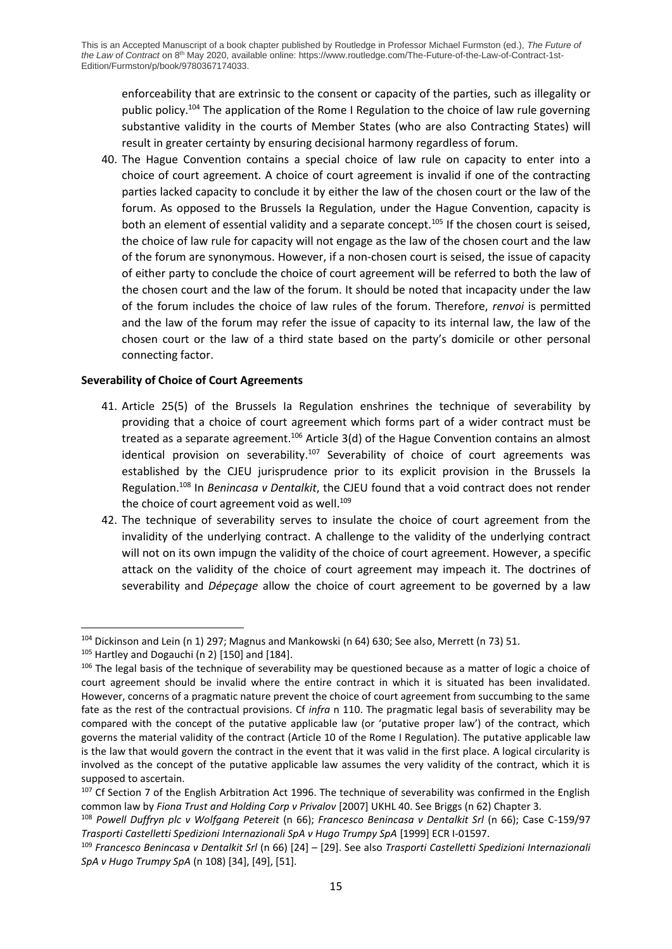enforceability that are extrinsic to the consent or capacity of the parties, such as illegality or public policy.<sup>104</sup> The application of the Rome I Regulation to the choice of law rule governing substantive validity in the courts of Member States (who are also Contracting States) will result in greater certainty by ensuring decisional harmony regardless of forum.

40. The Hague Convention contains a special choice of law rule on capacity to enter into a choice of court agreement. A choice of court agreement is invalid if one of the contracting parties lacked capacity to conclude it by either the law of the chosen court or the law of the forum. As opposed to the Brussels Ia Regulation, under the Hague Convention, capacity is both an element of essential validity and a separate concept.<sup>105</sup> If the chosen court is seised, the choice of law rule for capacity will not engage as the law of the chosen court and the law of the forum are synonymous. However, if a non-chosen court is seised, the issue of capacity of either party to conclude the choice of court agreement will be referred to both the law of the chosen court and the law of the forum. It should be noted that incapacity under the law of the forum includes the choice of law rules of the forum. Therefore, *renvoi* is permitted and the law of the forum may refer the issue of capacity to its internal law, the law of the chosen court or the law of a third state based on the party's domicile or other personal connecting factor.

## **Severability of Choice of Court Agreements**

- 41. Article 25(5) of the Brussels Ia Regulation enshrines the technique of severability by providing that a choice of court agreement which forms part of a wider contract must be treated as a separate agreement.<sup>106</sup> Article 3(d) of the Hague Convention contains an almost identical provision on severability.<sup>107</sup> Severability of choice of court agreements was established by the CJEU jurisprudence prior to its explicit provision in the Brussels Ia Regulation.<sup>108</sup> In *Benincasa v Dentalkit*, the CJEU found that a void contract does not render the choice of court agreement void as well.<sup>109</sup>
- 42. The technique of severability serves to insulate the choice of court agreement from the invalidity of the underlying contract. A challenge to the validity of the underlying contract will not on its own impugn the validity of the choice of court agreement. However, a specific attack on the validity of the choice of court agreement may impeach it. The doctrines of severability and *Dépeçage* allow the choice of court agreement to be governed by a law

<sup>104</sup> Dickinson and Lein (n 1) 297; Magnus and Mankowski (n 64) 630; See also, Merrett (n 73) 51.

 $105$  Hartley and Dogauchi (n 2) [150] and [184].

<sup>&</sup>lt;sup>106</sup> The legal basis of the technique of severability may be questioned because as a matter of logic a choice of court agreement should be invalid where the entire contract in which it is situated has been invalidated. However, concerns of a pragmatic nature prevent the choice of court agreement from succumbing to the same fate as the rest of the contractual provisions. Cf *infra* n 110. The pragmatic legal basis of severability may be compared with the concept of the putative applicable law (or 'putative proper law') of the contract, which governs the material validity of the contract (Article 10 of the Rome I Regulation). The putative applicable law is the law that would govern the contract in the event that it was valid in the first place. A logical circularity is involved as the concept of the putative applicable law assumes the very validity of the contract, which it is supposed to ascertain.

<sup>&</sup>lt;sup>107</sup> Cf Section 7 of the English Arbitration Act 1996. The technique of severability was confirmed in the English common law by *Fiona Trust and Holding Corp v Privalov* [2007] UKHL 40. See Briggs (n 62) Chapter 3.

<sup>108</sup> *Powell Duffryn plc v Wolfgang Petereit* (n 66); *Francesco Benincasa v Dentalkit Srl* (n 66); Case C-159/97 *Trasporti Castelletti Spedizioni Internazionali SpA v Hugo Trumpy SpA* [1999] ECR I-01597.

<sup>109</sup> *Francesco Benincasa v Dentalkit Srl* (n 66) [24] – [29]. See also *Trasporti Castelletti Spedizioni Internazionali SpA v Hugo Trumpy SpA* (n 108) [34], [49], [51].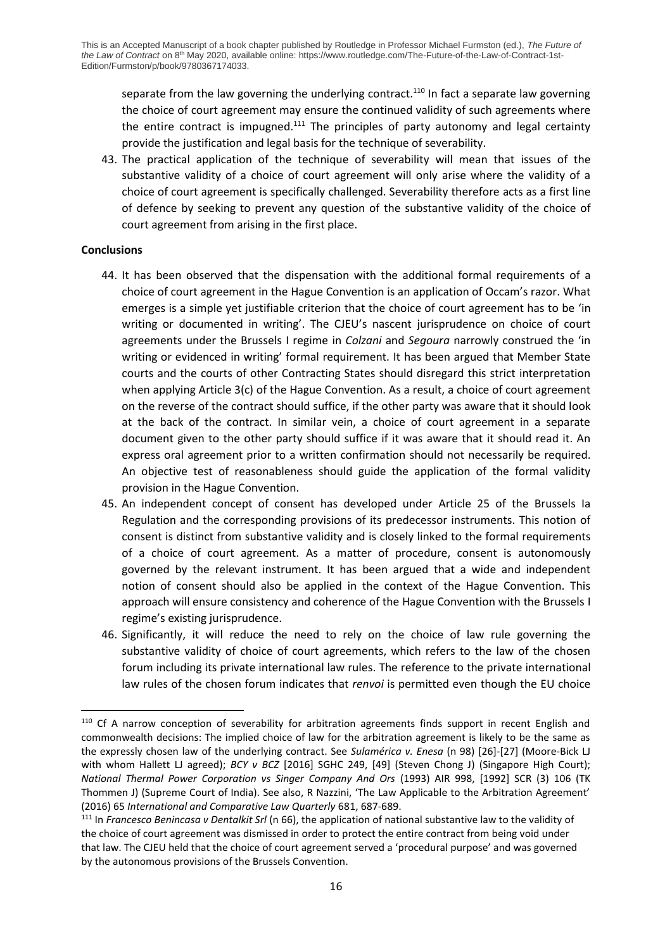separate from the law governing the underlying contract.<sup>110</sup> In fact a separate law governing the choice of court agreement may ensure the continued validity of such agreements where the entire contract is impugned. $111$  The principles of party autonomy and legal certainty provide the justification and legal basis for the technique of severability.

43. The practical application of the technique of severability will mean that issues of the substantive validity of a choice of court agreement will only arise where the validity of a choice of court agreement is specifically challenged. Severability therefore acts as a first line of defence by seeking to prevent any question of the substantive validity of the choice of court agreement from arising in the first place.

# **Conclusions**

- 44. It has been observed that the dispensation with the additional formal requirements of a choice of court agreement in the Hague Convention is an application of Occam's razor. What emerges is a simple yet justifiable criterion that the choice of court agreement has to be 'in writing or documented in writing'. The CJEU's nascent jurisprudence on choice of court agreements under the Brussels I regime in *Colzani* and *Segoura* narrowly construed the 'in writing or evidenced in writing' formal requirement. It has been argued that Member State courts and the courts of other Contracting States should disregard this strict interpretation when applying Article 3(c) of the Hague Convention. As a result, a choice of court agreement on the reverse of the contract should suffice, if the other party was aware that it should look at the back of the contract. In similar vein, a choice of court agreement in a separate document given to the other party should suffice if it was aware that it should read it. An express oral agreement prior to a written confirmation should not necessarily be required. An objective test of reasonableness should guide the application of the formal validity provision in the Hague Convention.
- 45. An independent concept of consent has developed under Article 25 of the Brussels Ia Regulation and the corresponding provisions of its predecessor instruments. This notion of consent is distinct from substantive validity and is closely linked to the formal requirements of a choice of court agreement. As a matter of procedure, consent is autonomously governed by the relevant instrument. It has been argued that a wide and independent notion of consent should also be applied in the context of the Hague Convention. This approach will ensure consistency and coherence of the Hague Convention with the Brussels I regime's existing jurisprudence.
- 46. Significantly, it will reduce the need to rely on the choice of law rule governing the substantive validity of choice of court agreements, which refers to the law of the chosen forum including its private international law rules. The reference to the private international law rules of the chosen forum indicates that *renvoi* is permitted even though the EU choice

<sup>&</sup>lt;sup>110</sup> Cf A narrow conception of severability for arbitration agreements finds support in recent English and commonwealth decisions: The implied choice of law for the arbitration agreement is likely to be the same as the expressly chosen law of the underlying contract. See *Sulamérica v. Enesa* (n 98) [26]-[27] (Moore-Bick LJ with whom Hallett LJ agreed); *BCY v BCZ* [2016] SGHC 249, [49] (Steven Chong J) (Singapore High Court); *National Thermal Power Corporation vs Singer Company And Ors* (1993) AIR 998, [1992] SCR (3) 106 (TK Thommen J) (Supreme Court of India). See also, R Nazzini, 'The Law Applicable to the Arbitration Agreement' (2016) 65 *International and Comparative Law Quarterly* 681, 687-689.

<sup>111</sup> In *Francesco Benincasa v Dentalkit Srl* (n 66), the application of national substantive law to the validity of the choice of court agreement was dismissed in order to protect the entire contract from being void under that law. The CJEU held that the choice of court agreement served a 'procedural purpose' and was governed by the autonomous provisions of the Brussels Convention.